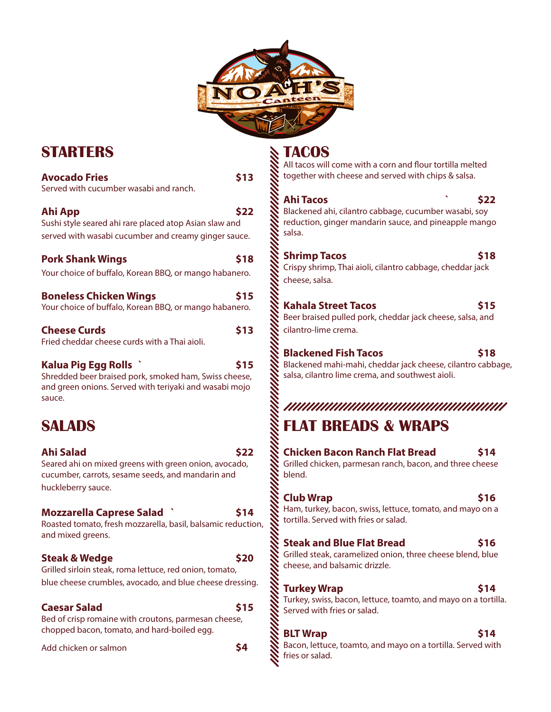

# **STARTERS**

| <b>Avocado Fries</b><br>Served with cucumber wasabi and ranch.                                                                                   | \$13 |
|--------------------------------------------------------------------------------------------------------------------------------------------------|------|
| Ahi App<br>Sushi style seared ahi rare placed atop Asian slaw and<br>served with wasabi cucumber and creamy ginger sauce.                        | \$22 |
| <b>Pork Shank Wings</b><br>Your choice of buffalo, Korean BBQ, or mango habanero.                                                                | \$18 |
| <b>Boneless Chicken Wings</b><br>Your choice of buffalo, Korean BBQ, or mango habanero.                                                          | \$15 |
| <b>Cheese Curds</b><br>Fried cheddar cheese curds with a Thai aioli.                                                                             | \$13 |
| Kalua Pig Egg Rolls<br>Shredded beer braised pork, smoked ham, Swiss cheese,<br>and green onions. Served with teriyaki and wasabi mojo<br>sauce. | \$15 |
| SALADS                                                                                                                                           |      |
| Ahi Salad<br>Seared ahi on mixed greens with green onion, avocado,<br>cucumber, carrots, sesame seeds, and mandarin and<br>huckleberry sauce.    | \$22 |

### **Mozzarella Caprese Salad ` \$14**

Roasted tomato, fresh mozzarella, basil, balsamic reduction, and mixed greens.

### **Steak & Wedge \$20**

Grilled sirloin steak, roma lettuce, red onion, tomato, blue cheese crumbles, avocado, and blue cheese dressing.

## **Caesar Salad** \$15

Bed of crisp romaine with croutons, parmesan cheese, chopped bacon, tomato, and hard-boiled egg.

Add chicken or salmon **\$4** 

**TACOS**

All tacos will come with a corn and flour tortilla melted together with cheese and served with chips & salsa.

**Ahi Tacos ` \$22** Blackened ahi, cilantro cabbage, cucumber wasabi, soy reduction, ginger mandarin sauce, and pineapple mango salsa.

**Shrimp Tacos** \$18 Crispy shrimp, Thai aioli, cilantro cabbage, cheddar jack cheese, salsa.

## **Kahala Street Tacos \$15**

Beer braised pulled pork, cheddar jack cheese, salsa, and cilantro-lime crema.

**Blackened Fish Tacos** 518

Blackened mahi-mahi, cheddar jack cheese, cilantro cabbage, salsa, cilantro lime crema, and southwest aioli.

## **FLAT BREADS & WRAPS**

**Chicken Bacon Ranch Flat Bread \$14** Grilled chicken, parmesan ranch, bacon, and three cheese blend.

### **Club Wrap 516**

Ham, turkey, bacon, swiss, lettuce, tomato, and mayo on a tortilla. Served with fries or salad.

## **Steak and Blue Flat Bread \$16**

Grilled steak, caramelized onion, three cheese blend, blue cheese, and balsamic drizzle.

## **Turkey Wrap 514**

Turkey, swiss, bacon, lettuce, toamto, and mayo on a tortilla. Served with fries or salad.

## **BLT Wrap 514**

Bacon, lettuce, toamto, and mayo on a tortilla. Served with fries or salad.

- 
- 
-